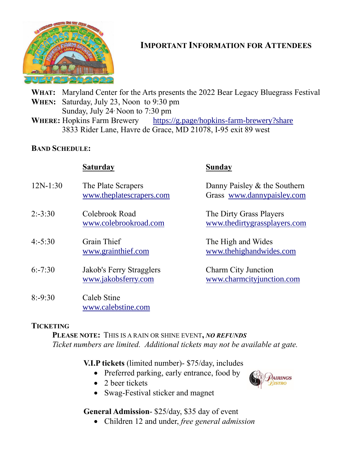

# **IMPORTANT INFORMATION FOR ATTENDEES**

**WHAT:** Maryland Center for the Arts presents the 2022 Bear Legacy Bluegrass Festival **WHEN:** Saturday, July 23, Noon to 9:30 pm Sunday, July 24, Noon to 7:30 pm

**WHERE:** Hopkins Farm Brewery <https://g.page/hopkins-farm-brewery?share> 3833 Rider Lane, Havre de Grace, MD 21078, I-95 exit 89 west

#### **BAND SCHEDULE:**

### **Saturday Sunday**

- 12N-1:30 The Plate Scrapers Danny Paisley & the Southern
- 2:-3:30 Colebrook Road The Dirty Grass Players
- 4:-5:30 Grain Thief The High and Wides
- 6:-7:30 Jakob's Ferry Stragglers Charm City Junction
- 8:-9:30 Caleb Stine [www.calebstine.com](http://www.calebstine.com/)

[www.theplatescrapers.com](http://www.theplatescrapers.com/) Grass [www.dannypaisley.com](http://www.dannypaisley.com/)

[www.colebrookroad.com](http://www.colebrookroad.com/) [www.thedirtygrassplayers.com](http://www.thedirtygrassplayers.com/)

[www.grainthief.com](http://www.grainthief.com/) [www.thehighandwides.com](http://www.thehighandwides.com/)

[www.jakobsferry.com](http://www.jakobsferry.com/) [www.charmcityjunction.com](http://www.charmcityjunction.com/)

#### **TICKETING**

**PLEASE NOTE:** THIS IS A RAIN OR SHINE EVENT**,** *NO REFUNDS Ticket numbers are limited. Additional tickets may not be available at gate.*

**V.I.P tickets** (limited number)- \$75/day, includes

- Preferred parking, early entrance, food by
- 2 beer tickets
- Swag-Festival sticker and magnet

#### **General Admission**- \$25/day, \$35 day of event

• Children 12 and under, *free general admission*